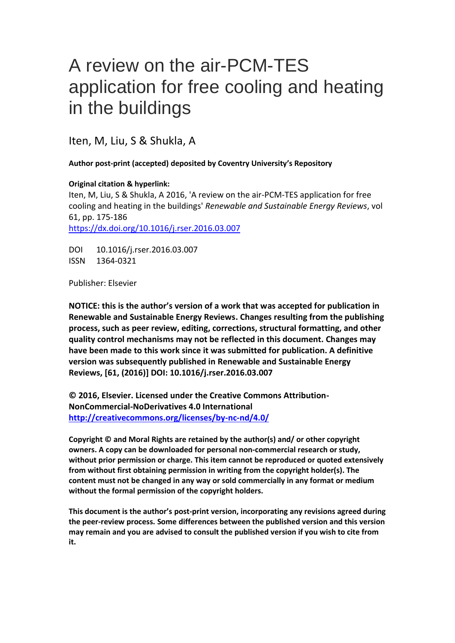# A review on the air-PCM-TES application for free cooling and heating in the buildings

Iten, M, Liu, S & Shukla, A

## **Author post-print (accepted) deposited by Coventry University's Repository**

## **Original citation & hyperlink:**

Iten, M, Liu, S & Shukla, A 2016, 'A review on the air-PCM-TES application for free cooling and heating in the buildings' *Renewable and Sustainable Energy Reviews*, vol 61, pp. 175-186 <https://dx.doi.org/10.1016/j.rser.2016.03.007>

DOI 10.1016/j.rser.2016.03.007 ISSN 1364-0321

Publisher: Elsevier

**NOTICE: this is the author's version of a work that was accepted for publication in Renewable and Sustainable Energy Reviews. Changes resulting from the publishing process, such as peer review, editing, corrections, structural formatting, and other quality control mechanisms may not be reflected in this document. Changes may have been made to this work since it was submitted for publication. A definitive version was subsequently published in Renewable and Sustainable Energy Reviews, [61, (2016)] DOI: 10.1016/j.rser.2016.03.007**

**© 2016, Elsevier. Licensed under the Creative Commons Attribution-NonCommercial-NoDerivatives 4.0 International <http://creativecommons.org/licenses/by-nc-nd/4.0/>**

**Copyright © and Moral Rights are retained by the author(s) and/ or other copyright owners. A copy can be downloaded for personal non-commercial research or study, without prior permission or charge. This item cannot be reproduced or quoted extensively from without first obtaining permission in writing from the copyright holder(s). The content must not be changed in any way or sold commercially in any format or medium without the formal permission of the copyright holders.** 

**This document is the author's post-print version, incorporating any revisions agreed during the peer-review process. Some differences between the published version and this version may remain and you are advised to consult the published version if you wish to cite from it.**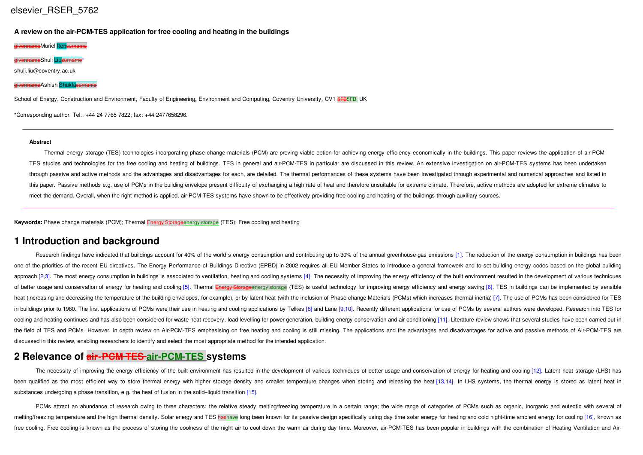**A review on the air-PCM-TES application for free cooling and heating in the buildings**

eMuriel Itensurname <mark>e</mark>Shuli <mark>Lius</mark> ⁎ shuli.liu@coventry.ac.uk <mark>e</mark>Ashish <mark>Shukla</mark>

School of Energy, Construction and Environment, Faculty of Engineering, Environment and Computing, Coventry University, CV1 5FB5FB, UK

**⁎**Corresponding author. Tel.: +44 24 7765 7822; fax: +44 2477658296.

#### **Abstract**

Thermal energy storage (TES) technologies incorporating phase change materials (PCM) are proving viable option for achieving energy efficiency economically in the buildings. This paper reviews the application of air-PCM-TES studies and technologies for the free cooling and heating of buildings. TES in general and air-PCM-TES in particular are discussed in this review. An extensive investigation on air-PCM-TES systems has been undertaken through passive and active methods and the advantages and disadvantages for each, are detailed. The thermal performances of these systems have been investigated through experimental and numerical approaches and listed in this paper. Passive methods e.g. use of PCMs in the building envelope present difficulty of exchanging a high rate of heat and therefore unsuitable for extreme climate. Therefore, active methods are adopted for extreme cli meet the demand. Overall, when the right method is applied, air-PCM-TES systems have shown to be effectively providing free cooling and heating of the buildings through auxiliary sources.

**Keywords:** Phase change materials (PCM); Thermal Energy Storageenergy storage (TES); Free cooling and heating

## **1 Introduction and background**

Research findings have indicated that buildings account for 40% of the world's energy consumption and contributing up to 30% of the annual greenhouse gas emissions [1]. The reduction of the energy consumption in buildings one of the priorities of the recent EU directives. The Energy Performance of Buildings Directive (EPBD) in 2002 requires all EU Member States to introduce a general framework and to set building energy codes based on the g approach [2,3]. The most energy consumption in buildings is associated to ventilation, heating and cooling systems [4]. The necessity of improving the energy efficiency of the built environment resulted in the development of better usage and conservation of energy for heating and cooling [5]. Thermal Energy Storage energy storage (TES) is useful technology for improving energy efficiency and energy saving [6]. TES in buildings can be implem heat (increasing and decreasing the temperature of the building envelopes, for example), or by latent heat (with the inclusion of Phase change Materials (PCMs) which increases thermal inertia) [7]. The use of PCMs has been in buildings prior to 1980. The first applications of PCMs were their use in heating and cooling applications by Telkes [8] and Lane [9.10]. Recently different applications for use of PCMs by several authors were developed cooling and heating continues and has also been considered for waste heat recovery, load levelling for power generation, building energy conservation and air conditioning [11]. Literature review shows that several studies the field of TES and PCMs. However, in depth review on Air-PCM-TES emphasising on free heating and cooling is still missing. The applications and the advantages and disadvantages for active and passive methods of Air-PCM-T discussed in this review, enabling researchers to identify and select the most appropriate method for the intended application.

# **2 Relevance of air‐PCM TES air-PCM-TES systems**

The necessity of improving the energy efficiency of the built environment has resulted in the development of various techniques of better usage and conservation of energy for heating and cooling [12]. Latent heat storage ( been qualified as the most efficient way to store thermal energy with higher storage density and smaller temperature changes when storing and releasing the heat [13,14]. In LHS systems, the thermal energy is stored as late substances undergoing a phase transition, e.g. the heat of fusion in the solid–liquid transition [15].

PCMs attract an abundance of research owing to three characters: the relative steady melting/freezing temperature in a certain range: the wide range of categories of PCMs such as organic, inorganic and eutectic with severa melting/freezing temperature and the high thermal density. Solar energy and TES hashave long been known for its passive design specifically using day time solar energy for heating and cold night-time ambient energy for coo free cooling. Free cooling is known as the process of storing the coolness of the night air to cool down the warm air during day time. Moreover, air-PCM-TES has been popular in buildings with the combination of Heating Ven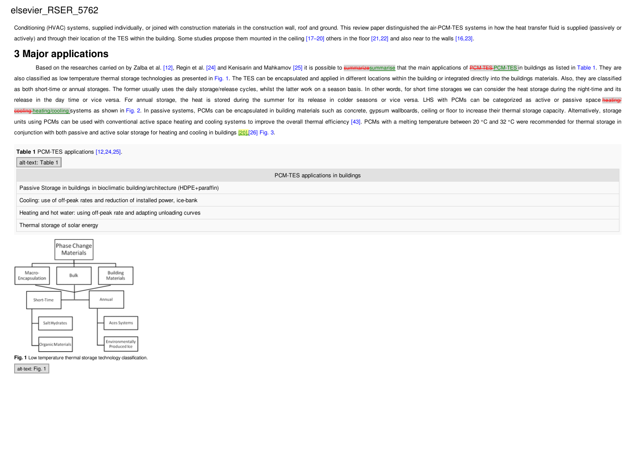Conditioning (HVAC) systems, supplied individually, or joined with construction materials in the construction wall, roof and ground. This review paper distinguished the air-PCM-TES systems in how the heat transfer fluid is actively) and through their location of the TES within the building. Some studies propose them mounted in the ceiling [17–20] others in the floor [21,22] and also near to the walls [16,23].

# **3 Major applications**

Based on the researches carried on by Zalba et al. [12], Regin et al. [24] and Kenisarin and Mahkamov [25] it is possible to summarizesummarise that the main applications of PCM TES PCM TES in buildings as listed in Table also classified as low temperature thermal storage technologies as presented in Fig. 1. The TES can be encapsulated and applied in different locations within the building or integrated directly into the buildings materials as both short-time or annual storages. The former usually uses the daily storage/release cycles, whilst the latter work on a season basis. In other words, for short time storages we can consider the heat storage during the release in the day time or vice versa. For annual storage, the heat is stored during the summer for its release in colder seasons or vice versa. LHS with PCMs can be categorized as active or passive space heating/ ooling-heating/cooling systems as shown in Fig. 2. In passive systems, PCMs can be encapsulated in building materials such as concrete, gypsum wallboards, ceiling or floor to increase their thermal storage capacity. Altern units using PCMs can be used with conventional active space heating and cooling systems to improve the overall thermal efficiency [43]. PCMs with a melting temperature between 20 °C and 32 °C were recommended for thermal s conjunction with both passive and active solar storage for heating and cooling in buildings [20],[26] Fig. 3.

**Table 1** PCM-TES applications [12,24,25].

| alt-text: Table 1                                                                 |
|-----------------------------------------------------------------------------------|
| PCM-TES applications in buildings                                                 |
| Passive Storage in buildings in bioclimatic building/architecture (HDPE+paraffin) |
| Cooling: use of off-peak rates and reduction of installed power, ice-bank         |
| Heating and hot water: using off-peak rate and adapting unloading curves          |
| Thermal storage of solar energy                                                   |
|                                                                                   |



**Fig. 1** Low temperature thermal storage technology classification.

alt-text: Fig. 1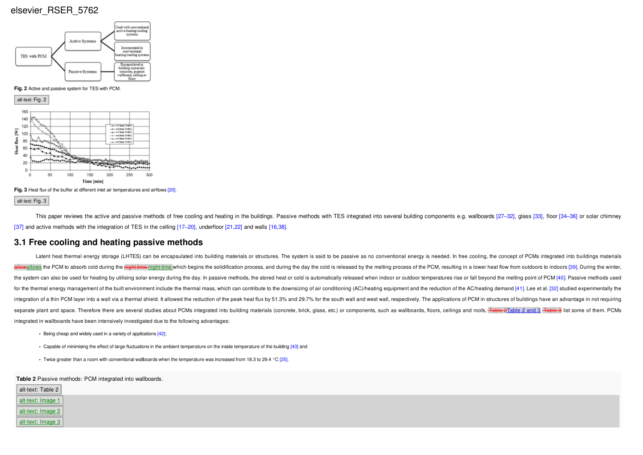



**Fig. 3** Heat flux of the buffer at different inlet air temperatures and airflows [20].

alt-text: Fig. 3

This paper reviews the active and passive methods of free cooling and heating in the buildings. Passive methods with TES integrated into several building components e.g. wallboards [27-32], glass [33], floor [34-36] or sol [37] and active methods with the integration of TES in the celling [17–20], underfloor [21,22] and walls [16,38].

#### **3.1 Free cooling and heating passive methods**

Latent heat thermal energy storage (LHTES) can be encapsulated into building materials or structures. The system is said to be passive as no conventional energy is needed. In free cooling, the concept of PCMs integrated in allows the PCM to absorb cold during the night time-night-time which begins the solidification process, and during the day the cold is released by the melting process of the PCM, resulting in a lower heat flow from outdoor the system can also be used for heating by utilising solar energy during the day. In passive methods, the stored heat or cold is automatically released when indoor or outdoor temperatures rise or fall beyond the melting po for the thermal energy management of the built environment include the thermal mass, which can contribute to the downsizing of air conditioning (AC)/heating equipment and the reduction of the AC/heating demand [41]. Lee et integration of a thin PCM layer into a wall via a thermal shield. It allowed the reduction of the peak heat flux by 51.3% and 29.7% for the south wall and west wall, respectively. The applications of PCM in structures of b separate plant and space. Therefore there are several studies about PCMs integrated into building materials (concrete, brick, glass, etc.) or components, such as wallboards, floors, ceilings and roofs, Table 2Table 2 and 3 integrated in wallboards have been intensively investigated due to the following advantages:

- **•** Being cheap and widely used in a variety of applications [42];
- **•** Capable of minimising the effect of large fluctuations in the ambient temperature on the inside temperature of the building [43] and
- **•** Twice greater than a room with conventional wallboards when the temperature was increased from 18.3 to 29.4 °C [25].

**Table 2** Passive methods: PCM integrated into wallboards.

| alt-text: Table 2 | ີ |  |  |
|-------------------|---|--|--|
| alt-text: Image 1 |   |  |  |
| alt-text: Image 2 |   |  |  |
| alt-text: Image 3 |   |  |  |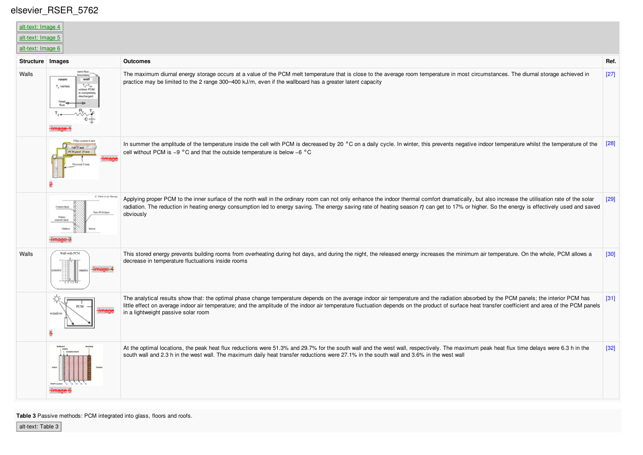$\overline{\mathbb{R}^n}$ 

| alt-text: Image 4<br>alt-text: Image 5<br>alt-text: Image 6 |                                                                          |                                                                                                                                                                                                                                                                                                                                                                                                                                       |        |
|-------------------------------------------------------------|--------------------------------------------------------------------------|---------------------------------------------------------------------------------------------------------------------------------------------------------------------------------------------------------------------------------------------------------------------------------------------------------------------------------------------------------------------------------------------------------------------------------------|--------|
| Structure   Images                                          |                                                                          | <b>Outcomes</b>                                                                                                                                                                                                                                                                                                                                                                                                                       | Ref.   |
| Walls                                                       | zero-flux<br>room<br>wall<br>niess PCM<br>lischarged                     | The maximum diurnal energy storage occurs at a value of the PCM melt temperature that is close to the average room temperature in most circumstances. The diurnal storage achieved in<br>practice may be limited to the 2 range 300–400 kJ/m, even if the wallboard has a greater latent capacity                                                                                                                                     | $[27]$ |
|                                                             | Fibre cement 6 mm<br>VIP 17 mm<br>PCM panel 25 mm<br><b>Bourged 5 mm</b> | In summer the amplitude of the temperature inside the cell with PCM is decreased by 20 °C on a daily cycle. In winter, this prevents negative indoor temperature whilst the temperature of the<br>cell without PCM is $-9$ °C and that the outside temperature is below $-6$ °C                                                                                                                                                       | $[28]$ |
|                                                             | C. Chen et al./Ener<br>New PCM layer                                     | Applying proper PCM to the inner surface of the north wall in the ordinary room can not only enhance the indoor thermal comfort dramatically, but also increase the utilisation rate of the solar<br>radiation. The reduction in heating energy consumption led to energy saving. The energy saving rate of heating season $\eta$ can get to 17% or higher. So the energy is effectively used and saved<br>obviously                  | $[29]$ |
| Walls                                                       | Wall with PCM                                                            | This stored energy prevents building rooms from overheating during hot days, and during the night, the released energy increases the minimum air temperature. On the whole, PCM allows a<br>decrease in temperature fluctuations inside rooms                                                                                                                                                                                         | $[30]$ |
|                                                             | winde<br>5                                                               | The analytical results show that: the optimal phase change temperature depends on the average indoor air temperature and the radiation absorbed by the PCM panels; the interior PCM has<br>little effect on average indoor air temperature; and the amplitude of the indoor air temperature fluctuation depends on the product of surface heat transfer coefficient and area of the PCM panels<br>in a lightweight passive solar room | $[31]$ |
|                                                             |                                                                          | At the optimal locations, the peak heat flux reductions were 51.3% and 29.7% for the south wall and the west wall, respectively. The maximum peak heat flux time delays were 6.3 h in the<br>south wall and 2.3 h in the west wall. The maximum daily heat transfer reductions were 27.1% in the south wall and 3.6% in the west wall                                                                                                 | $[32]$ |

**Table 3** Passive methods: PCM integrated into glass, floors and roofs.

alt-text: Table 3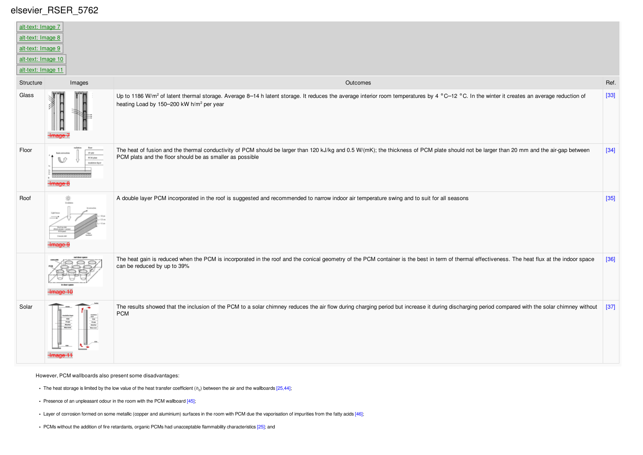| alt-text: Image 7<br>alt-text: Image 8<br>alt-text: Image 9 |                                                                 |                                                                                                                                                                                                                                                                 |        |
|-------------------------------------------------------------|-----------------------------------------------------------------|-----------------------------------------------------------------------------------------------------------------------------------------------------------------------------------------------------------------------------------------------------------------|--------|
| alt-text: Image 10<br>alt-text: Image 11                    |                                                                 |                                                                                                                                                                                                                                                                 |        |
| Structure                                                   | Images                                                          | Outcomes                                                                                                                                                                                                                                                        | Ref.   |
| Glass                                                       |                                                                 | Up to 1186 W/m <sup>2</sup> of latent thermal storage. Average 8-14 h latent storage. It reduces the average interior room temperatures by 4 °C-12 °C. In the winter it creates an average reduction of<br>heating Load by 150-200 kW h/m <sup>2</sup> per year | $[33]$ |
| Floor                                                       | PCM plate<br><b>Insulation Second</b>                           | The heat of fusion and the thermal conductivity of PCM should be larger than 120 kJ/kg and 0.5 W/(mK); the thickness of PCM plate should not be larger than 20 mm and the air-gap between<br>PCM plats and the floor should be as smaller as possible           | $[34]$ |
| Roof                                                        |                                                                 | A double layer PCM incorporated in the roof is suggested and recommended to narrow indoor air temperature swing and to suit for all seasons                                                                                                                     | $[35]$ |
|                                                             |                                                                 | The heat gain is reduced when the PCM is incorporated in the roof and the conical geometry of the PCM container is the best in term of thermal effectiveness. The heat flux at the indoor space<br>can be reduced by up to 39%                                  | $[36]$ |
| Solar                                                       | $\frac{1}{2}$<br>$\begin{array}{c} 108 \\ R\,gg \\ R\,m\,bar\,$ | The results showed that the inclusion of the PCM to a solar chimney reduces the air flow during charging period but increase it during discharging period compared with the solar chimney without<br><b>PCM</b>                                                 | [37]   |

However, PCM wallboards also present some disadvantages:

- The heat storage is limited by the low value of the heat transfer coefficient (*h<sub>c</sub>*) between the air and the wallboards [25,44];
- **•** Presence of an unpleasant odour in the room with the PCM wallboard [45];
- **•** Layer of corrosion formed on some metallic (copper and aluminium) surfaces in the room with PCM due the vaporisation of impurities from the fatty acids [46];
- **•** PCMs without the addition of fire retardants, organic PCMs had unacceptable flammability characteristics [25]; and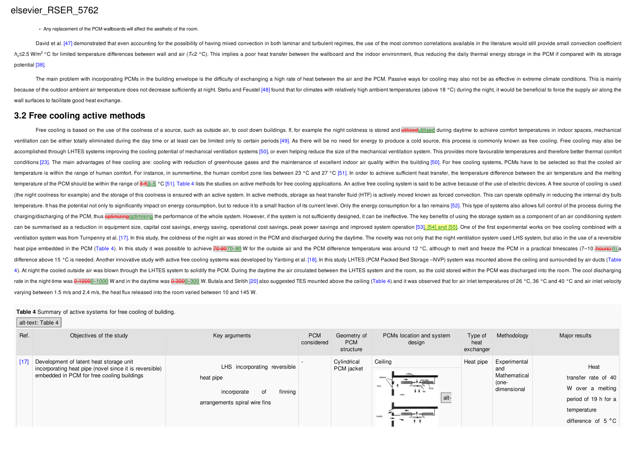**•** Any replacement of the PCM wallboards will affect the aesthetic of the room.

David et al. [47] demonstrated that even accounting for the possibility of having mixed convection in both laminar and turbulent regimes, the use of the most common correlations available in the literature would still prov h<sub>c</sub>≤2.5 W/m<sup>2</sup> °C for limited temperature differences between wall and air (T<2 °C). This implies a poor heat transfer between the wallboard and the indoor environment, thus reducing the daily thermal energy storage in t potential [38].

The main problem with incorporating PCMs in the building envelope is the difficulty of exchanging a high rate of heat between the air and the PCM. Passive ways for cooling may also not be as effective in extreme climate co because of the outdoor ambient air temperature does not decrease sufficiently at night. Stetiu and Feustel [48] found that for climates with relatively high ambient temperatures (above 18 °C) during the night, it would be wall surfaces to facilitate good heat exchange.

## **3.2 Free cooling active methods**

Free cooling is based on the use of the coolness of a source, such as outside air, to cool down buildings. If, for example the night coldness is stored and thit reedutilised during daytime to achieve comfort temperatures i ventilation can be either totally eliminated during the day time or at least can be limited only to certain periods [49]. As there will be no need for energy to produce a cold source, this process is commonly known as free accomplished through LHTES systems improving the cooling potential of mechanical ventilation systems [50], or even helping reduce the size of the mechanical ventilation systems. This provides more favourable temperatures a conditions [23]. The main advantages of free cooling are: cooling with reduction of greenhouse gases and the maintenance of excellent indoor air quality within the building [50]. For free cooling systems, PCMs have to be s temperature is within the range of human comfort. For instance, in summertime, the human comfort zone lies between 23 °C and 27 °C [51]. In order to achieve sufficient heat transfer, the temperature difference between the temperature of the PCM should be within the range of 3-53-5 °C [51]. Table 4 lists the studies on active methods for free cooling applications. An active free cooling system is said to be active because of the use of elect (the night coolness for example) and the storage of this coolness is ensured with an active system. In active methods, storage as heat transfer fluid (HTF) is actively moved known as forced convection. This can operate opt temperature. It has the potential not only to significantly impact on energy consumption, but to reduce it to a small fraction of its current level. Only the energy consumption for a fan remains [52]. This type of systems charging/discharging of the PCM, thus *eptimizingoptimising* the performance of the whole system. However, if the system is not sufficiently designed, it can be ineffective. The key benefits of using the storage system as can be summarised as a reduction in equipment size, capital cost savings, energy saving, operational cost savings, peak power savings and improved system operation [53]. [54] and [55]. One of the first experimental works o ventilation system was from Turnpenny et al. [17]. In this study, the coldness of the night air was stored in the PCM and discharged during the daytime. The novelty was not only that the night ventilation system used LHS s heat pipe embedded in the PCM (Table 4). In this study it was possible to achieve 70-9070-90 W for the outside air and the PCM difference temperature was around 12 °C, although to melt and freeze the PCM in a practical tim difference above 15 °C is needed. Another innovative study with active free cooling systems was developed by Yanbing et al. [18]. In this study LHTES (PCM Packed Bed Storage -NVP) system was mounted above the ceiling and s 4). At night the cooled outside air was blown through the LHTES system to solidify the PCM. During the daytime the air circulated between the LHTES system and the room, so the cold stored within the PCM was discharged into rate in the night-time was 0-1000-1000 W and in the daytime was 0-3000-300 W. Butala and Stritih [20] also suggested TES mounted above the ceiling (Table 4) and it was observed that for air inlet temperatures of 26 °C, 36 varying between 1.5 m/s and 2.4 m/s, the heat flux released into the room varied between 10 and 145 W.

#### **Table 4** Summary of active systems for free cooling of building.

alt-text: Table 4

| Ref.   | Objectives of the study                                                                                                                         | Key arguments                                                                                              | <b>PCM</b><br>considered | Geometry of<br><b>PCM</b><br>structure | PCMs location and system<br>design | Type of<br>heat<br>exchanger | Methodology                                                 | Major results                                                                                                |
|--------|-------------------------------------------------------------------------------------------------------------------------------------------------|------------------------------------------------------------------------------------------------------------|--------------------------|----------------------------------------|------------------------------------|------------------------------|-------------------------------------------------------------|--------------------------------------------------------------------------------------------------------------|
| $[17]$ | Development of latent heat storage unit<br>incorporating heat pipe (novel since it is reversible)<br>embedded in PCM for free cooling buildings | LHS incorporating reversible<br>heat pipe<br>finning<br>incorporate<br>0f<br>arrangements spiral wire fins |                          | Cylindrical<br>PCM jacket              | Ceiling<br><b>BAY</b><br><br>alt-  | Heat pipe                    | Experimental<br>and<br>Mathematical<br>(one-<br>dimensional | Heat<br>transfer rate of 40<br>W over a melting<br>period of 19 h for a<br>temperature<br>difference of 5 °C |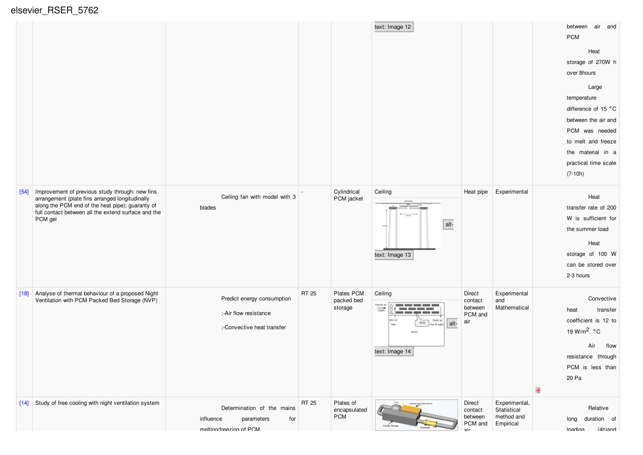elsevier\_RSER\_5762

|        |                                                                                                                                                                                                                          |                                                                                         |       |                                         | text: Image 12                                                                                                                                                                      |                                                |                                                         | between air and<br><b>PCM</b><br>Heat<br>storage of 270W h<br>over 8hours<br>Large<br>temperature<br>difference of 15 °C<br>between the air and<br>PCM was needed<br>to melt and freeze<br>the material in a<br>practical time scale<br>$(7-10h)$ |
|--------|--------------------------------------------------------------------------------------------------------------------------------------------------------------------------------------------------------------------------|-----------------------------------------------------------------------------------------|-------|-----------------------------------------|-------------------------------------------------------------------------------------------------------------------------------------------------------------------------------------|------------------------------------------------|---------------------------------------------------------|---------------------------------------------------------------------------------------------------------------------------------------------------------------------------------------------------------------------------------------------------|
| $[54]$ | Improvement of previous study through: new fins<br>arrangement (plate fins arranged longitudinally<br>along the PCM end of the heat pipe); guaranty of<br>full contact between all the extend surface and the<br>PCM gel | Ceiling fan with model with 3<br>blades                                                 |       | Cylindrical<br>PCM jacket               | Ceiling<br>alt-<br>text: Image 13                                                                                                                                                   | Heat pipe                                      | Experimental                                            | Heat<br>transfer rate of 200<br>W is sufficient for<br>the summer load<br>Heat<br>storage of 100 W<br>can be stored over<br>2-3 hours                                                                                                             |
| $[18]$ | Analyse of thermal behaviour of a proposed Night<br>Ventilation with PCM Packed Bed Storage (NVP)                                                                                                                        | Predict energy consumption<br>;-Air flow resistance<br>:-Convective heat transfer       | RT 25 | Plates PCM<br>packed bed<br>storage     | Ceiling<br>Outside air<br>سنت البنين الأنبي الأنبي البنين<br>$rac{1}{(right)}$<br><b>Contract Contract Contract</b><br>Outlet air<br>alt-<br>PCM<br>(day & night)<br>text: Image 14 | Direct<br>contact<br>between<br>PCM and<br>air | Experimental<br>and<br>Mathematical                     | Convective<br>transfer<br>heat<br>coefficient is 12 to<br>19 W/m <sup>2</sup> . $\degree$ C<br>Air<br>flow<br>resistance through<br>PCM is less than<br>20 Pa<br>$\overline{z}$                                                                   |
|        | [14] Study of free cooling with night ventilation system                                                                                                                                                                 | Determination of the mains<br>influence<br>for<br>parameters<br>melting/freezing of PCM | RT 25 | Plates of<br>encapsulated<br><b>PCM</b> | Inergy Stoneg                                                                                                                                                                       | Direct<br>contact<br>between<br>PCM and<br>nir | Experimental,<br>Statistical<br>method and<br>Empirical | Relative<br>duration of<br>long<br>$(4h)$ and<br><b>Inading</b>                                                                                                                                                                                   |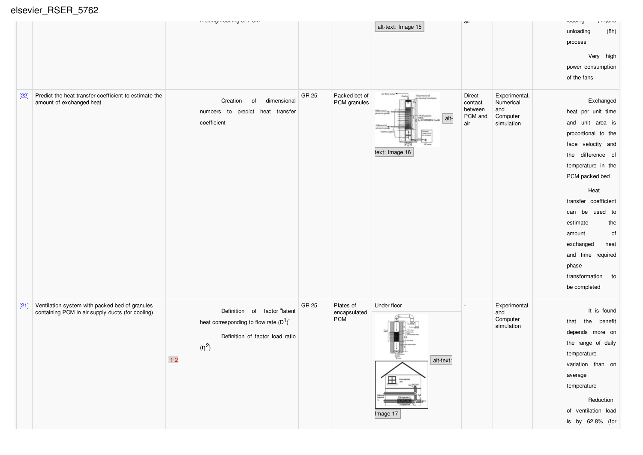|        |                                                                                                    | moning novemy or roun                                                                                                            |       |                                         |                                                                   | aıı                                            |                                                             | $\mathbf{u}$<br><b>IVUUIIIY</b>                                                                                                                                                                                                                                                                                                              |
|--------|----------------------------------------------------------------------------------------------------|----------------------------------------------------------------------------------------------------------------------------------|-------|-----------------------------------------|-------------------------------------------------------------------|------------------------------------------------|-------------------------------------------------------------|----------------------------------------------------------------------------------------------------------------------------------------------------------------------------------------------------------------------------------------------------------------------------------------------------------------------------------------------|
|        |                                                                                                    |                                                                                                                                  |       |                                         | alt-text: Image 15                                                |                                                |                                                             | unloading<br>(8h)<br>process<br>Very high<br>power consumption<br>of the fans                                                                                                                                                                                                                                                                |
| $[22]$ | Predict the heat transfer coefficient to estimate the<br>amount of exchanged heat                  | dimensional<br>Creation<br>of<br>numbers to predict heat transfer<br>coefficient                                                 | GR 25 | Packed bet of<br>PCM granules           | Air flow motor<br>alt-<br>text: Image 16                          | Direct<br>contact<br>between<br>PCM and<br>air | Experimental,<br>Numerical<br>and<br>Computer<br>simulation | Exchanged<br>heat per unit time<br>and unit area is<br>proportional to the<br>face velocity and<br>the difference of<br>temperature in the<br>PCM packed bed<br>Heat<br>transfer coefficient<br>can be<br>used to<br>estimate<br>the<br>of<br>amount<br>exchanged<br>heat<br>and time required<br>phase<br>transformation to<br>be completed |
| $[21]$ | Ventilation system with packed bed of granules<br>containing PCM in air supply ducts (for cooling) | Definition of factor "latent<br>heat corresponding to flow rate, $(D^1)$ "<br>Definition of factor load ratio<br>$(n^2)$<br>$+2$ | GR 25 | Plates of<br>encapsulated<br><b>PCM</b> | Under floor<br>alt-text:<br>$\mathbf{\Xi}$ is the set<br>Image 17 |                                                | Experimental<br>and<br>Computer<br>simulation               | It is found<br>the<br>benefit<br>that<br>depends more on<br>the range of daily<br>temperature<br>variation than on<br>average<br>temperature<br>Reduction<br>of ventilation load<br>is by 62.8% (for                                                                                                                                         |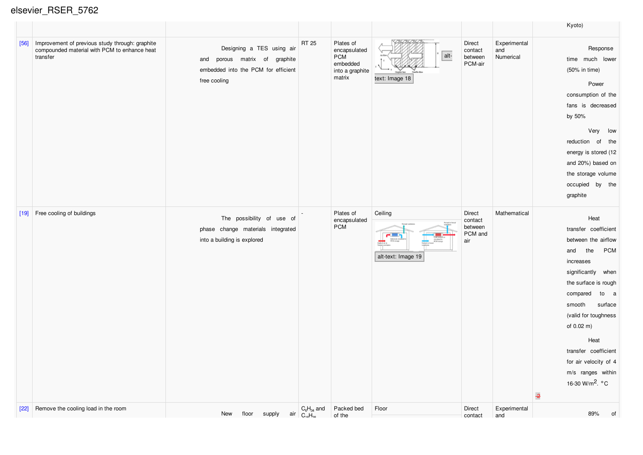|        |                                                                                                             |                                                                                                                   |                                            |                                                                                  |                               |                                                |                                  | Kyoto)                                                                                                                                                                                                                                                                                                                                                  |
|--------|-------------------------------------------------------------------------------------------------------------|-------------------------------------------------------------------------------------------------------------------|--------------------------------------------|----------------------------------------------------------------------------------|-------------------------------|------------------------------------------------|----------------------------------|---------------------------------------------------------------------------------------------------------------------------------------------------------------------------------------------------------------------------------------------------------------------------------------------------------------------------------------------------------|
| $[56]$ | Improvement of previous study through: graphite<br>compounded material with PCM to enhance heat<br>transfer | Designing a TES using air<br>and porous matrix of graphite<br>embedded into the PCM for efficient<br>free cooling | <b>RT 25</b>                               | Plates of<br>encapsulated<br><b>PCM</b><br>embedded<br>into a graphite<br>matrix | alt-<br>text: Image 18        | Direct<br>contact<br>between<br>PCM-air        | Experimental<br>and<br>Numerical | Response<br>time much lower<br>(50% in time)<br>Power<br>consumption of the<br>fans is decreased<br>by 50%<br>Very low<br>reduction of the<br>energy is stored (12<br>and 20%) based on<br>the storage volume<br>occupied by the<br>graphite                                                                                                            |
| $[19]$ | Free cooling of buildings                                                                                   | The possibility of use of<br>phase change materials integrated<br>into a building is explored                     |                                            | Plates of<br>encapsulated<br><b>PCM</b>                                          | Ceiling<br>alt-text: Image 19 | Direct<br>contact<br>between<br>PCM and<br>air | Mathematical                     | Heat<br>transfer coefficient<br>between the airflow<br><b>PCM</b><br>the<br>and<br>increases<br>significantly when<br>the surface is rough<br>compared<br>to a<br>smooth<br>surface<br>(valid for toughness<br>of 0.02 m)<br>Heat<br>transfer coefficient<br>for air velocity of 4<br>m/s ranges within<br>16-30 W/m <sup>2</sup> . °C<br>$\rightarrow$ |
| $[22]$ | Remove the cooling load in the room                                                                         | floor<br>New<br>supply                                                                                            | $C_6H_{34}$ and<br>$air \mid C_{10}H_{20}$ | Packed bed<br>of the                                                             | Floor                         | <b>Direct</b><br>contact                       | Experimental<br>and              | 89%<br>0f                                                                                                                                                                                                                                                                                                                                               |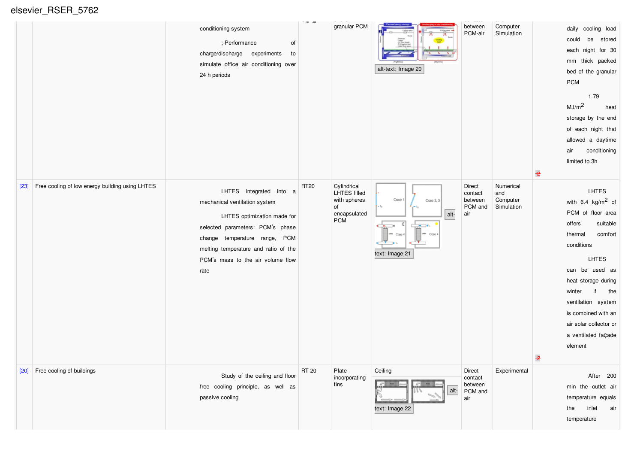|        |                                                 | conditioning system<br>;-Performance<br>of<br>charge/discharge experiments<br>to<br>simulate office air conditioning over<br>24 h periods                                                                                                         | $-10.30$    | granular PCM                                                                    | alt-text: Image 20                                                                                              | - - - - - - - -<br>between<br>PCM-air          | Computer<br>Simulation                     | daily cooling load<br>be stored<br>could<br>each night for 30<br>mm thick packed<br>bed of the granular<br>${\sf PCM}$<br>1.79<br>MJ/m <sup>2</sup><br>heat<br>storage by the end<br>of each night that<br>allowed a daytime<br>conditioning<br>air<br>limited to 3h                                          |
|--------|-------------------------------------------------|---------------------------------------------------------------------------------------------------------------------------------------------------------------------------------------------------------------------------------------------------|-------------|---------------------------------------------------------------------------------|-----------------------------------------------------------------------------------------------------------------|------------------------------------------------|--------------------------------------------|---------------------------------------------------------------------------------------------------------------------------------------------------------------------------------------------------------------------------------------------------------------------------------------------------------------|
| $[23]$ | Free cooling of low energy building using LHTES | LHTES integrated into a<br>mechanical ventilation system<br>LHTES optimization made for<br>selected parameters: PCM's phase<br>change temperature range, PCM<br>melting temperature and ratio of the<br>PCM's mass to the air volume flow<br>rate | <b>RT20</b> | Cylindrical<br>LHTES filled<br>with spheres<br>of<br>encapsulated<br><b>PCM</b> | Case 1<br>Case 2, 3<br>$-7a$<br>alt-<br>C  <br>$-16$<br>$-$<br>um Cose 4<br>um Case 4<br>$-1$<br>text: Image 21 | Direct<br>contact<br>between<br>PCM and<br>air | Numerical<br>and<br>Computer<br>Simulation | LHTES<br>with $6.4 \text{ kg/m}^2$ of<br>PCM of floor area<br>offers<br>suitable<br>comfort<br>thermal<br>conditions<br><b>LHTES</b><br>can be used as<br>heat storage during<br>the<br>winter<br>if<br>ventilation system<br>is combined with an<br>air solar collector or<br>a ventilated façade<br>element |
|        | [20] Free cooling of buildings                  | Study of the ceiling and floor<br>free cooling principle, as well as<br>passive cooling                                                                                                                                                           | RT 20       | Plate<br>incorporating<br>fins                                                  | Ceiling<br><b>POR</b><br><b>POM</b><br>alt-<br>text: Image 22                                                   | Direct<br>contact<br>between<br>PCM and<br>air | Experimental                               | After 200<br>min the outlet air<br>temperature equals<br>inlet<br>the<br>air<br>temperature                                                                                                                                                                                                                   |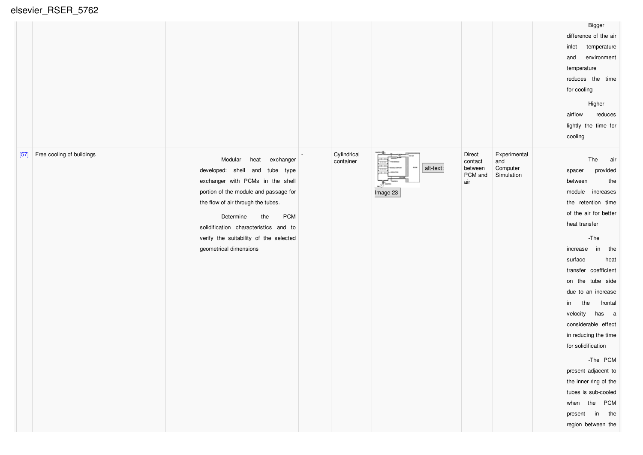elsevier\_RSER\_5762

|                                     |                                                                                                                                                                                                                                                                                                                                  |                          |                              |                                                |                                               | Bigger<br>difference of the air<br>inlet<br>temperature<br>environment<br>and<br>temperature<br>reduces the time<br>for cooling<br>Higher<br>airflow<br>reduces<br>lightly the time for<br>cooling                                                                                                                                                                                                                                                                                                                           |
|-------------------------------------|----------------------------------------------------------------------------------------------------------------------------------------------------------------------------------------------------------------------------------------------------------------------------------------------------------------------------------|--------------------------|------------------------------|------------------------------------------------|-----------------------------------------------|------------------------------------------------------------------------------------------------------------------------------------------------------------------------------------------------------------------------------------------------------------------------------------------------------------------------------------------------------------------------------------------------------------------------------------------------------------------------------------------------------------------------------|
| Free cooling of buildings<br>$[57]$ | Modular<br>heat<br>exchanger<br>developed: shell and tube type<br>exchanger with PCMs in the shell<br>portion of the module and passage for<br>the flow of air through the tubes.<br><b>PCM</b><br>Determine<br>the<br>solidification characteristics and to<br>verify the suitability of the selected<br>geometrical dimensions | Cylindrical<br>container | alt-text:<br>500<br>Image 23 | Direct<br>contact<br>between<br>PCM and<br>air | Experimental<br>and<br>Computer<br>Simulation | The<br>air<br>provided<br>spacer<br>between<br>the<br>module<br>increases<br>the retention time<br>of the air for better<br>heat transfer<br>$-$ The<br>increase<br>in the<br>surface<br>heat<br>transfer coefficient<br>on the tube side<br>due to an increase<br>the<br>frontal<br>in<br>velocity<br>has a<br>considerable effect<br>in reducing the time<br>for solidification<br>-The PCM<br>present adjacent to<br>the inner ring of the<br>tubes is sub-cooled<br>when the PCM<br>present in the<br>region between the |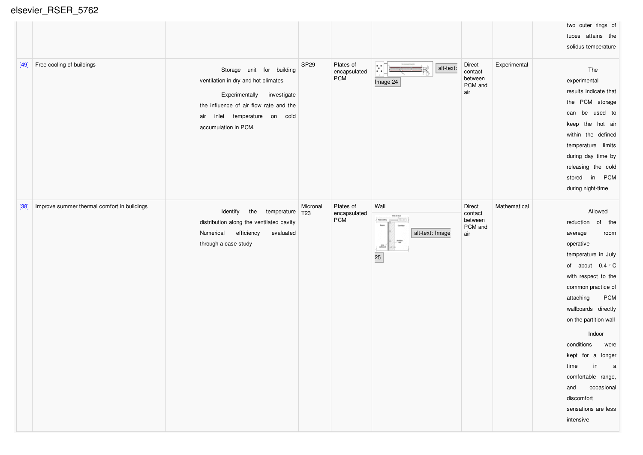| $[49]$ | Free cooling of buildings                   | Storage unit for building<br>ventilation in dry and hot climates<br>Experimentally<br>investigate<br>the influence of air flow rate and the<br>inlet temperature on cold<br>air<br>accumulation in PCM. | SP <sub>29</sub>            | Plates of<br>encapsulated<br><b>PCM</b> | ж<br>alt-text:<br>Image 24                                                                                                                                                                 | Direct<br>contact<br>between<br>PCM and<br>air | Experimental | two outer rings of<br>tubes attains the<br>solidus temperature<br>The<br>experimental<br>results indicate that<br>the PCM storage<br>can be used to<br>keep the hot air<br>within the defined<br>temperature limits<br>during day time by<br>releasing the cold<br>in PCM<br>stored<br>during night-time                                                                                             |
|--------|---------------------------------------------|---------------------------------------------------------------------------------------------------------------------------------------------------------------------------------------------------------|-----------------------------|-----------------------------------------|--------------------------------------------------------------------------------------------------------------------------------------------------------------------------------------------|------------------------------------------------|--------------|------------------------------------------------------------------------------------------------------------------------------------------------------------------------------------------------------------------------------------------------------------------------------------------------------------------------------------------------------------------------------------------------------|
| $[38]$ | Improve summer thermal comfort in buildings | Identify<br>the temperature<br>distribution along the ventilated cavity<br>Numerical<br>efficiency<br>evaluated<br>through a case study                                                                 | Micronal<br>T <sub>23</sub> | Plates of<br>encapsulated<br><b>PCM</b> | Wall<br><b>INFIRMS</b><br><b>False calling</b><br><b>Room</b><br>alt-text: Image<br>$\frac{1}{2}$<br>$\begin{array}{c} \text{R} \text{N} \\ \text{subtest} \end{array}$<br>$\overline{25}$ | Direct<br>contact<br>between<br>PCM and<br>air | Mathematical | Allowed<br>reduction of the<br>average<br>room<br>operative<br>temperature in July<br>of about 0.4 °C<br>with respect to the<br>common practice of<br><b>PCM</b><br>attaching<br>wallboards directly<br>on the partition wall<br>Indoor<br>conditions<br>were<br>kept for a longer<br>in<br>time<br>a a<br>comfortable range,<br>and<br>occasional<br>discomfort<br>sensations are less<br>intensive |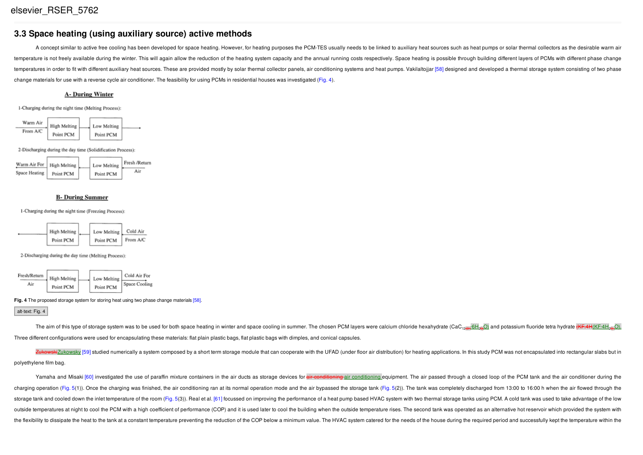## **3.3 Space heating (using auxiliary source) active methods**

A concept similar to active free cooling has been developed for space heating. However, for heating purposes the PCM-TES usually needs to be linked to auxiliary heat sources such as heat pumps or solar thermal collectors a temperature is not freely available during the winter. This will again allow the reduction of the heating system capacity and the annual running costs respectively. Space heating is possible through building different laye temperatures in order to fit with different auxiliary heat sources. These are provided mostly by solar thermal collector panels, air conditioning systems and heat pumps. Vakilaltojiar [58] designed and developed a thermal change materials for use with a reverse cycle air conditioner. The feasibility for using PCMs in residential houses was investigated (Fig. 4).

#### **A- During Winter**

1-Charging during the night time (Melting Process)



2-Discharging during the day time (Solidification Process):



#### **B- During Summer**

1-Charging during the night time (Freezing Process):



2-Discharging during the day time (Melting Process):



#### **Fig. 4** The proposed storage system for storing heat using two phase change materials [58].

alt-text: Fig. 4

The aim of this type of storage system was to be used for both space heating in winter and space cooling in summer. The chosen PCM layers were calcium chloride hexahydrate (CaC<sub>126H</sub>6H<sub>29</sub>O) and potassium fluoride tetra hy Three different configurations were used for encapsulating these materials: flat plain plastic bags, flat plastic bags with dimples, and conical capsules.

GZukowsky [59] studied numerically a system composed by a short term storage module that can cooperate with the UFAD (under floor air distribution) for heating applications. In this study PCM was not encapsulated into rect polyethylene film bag.

Yamaha and Misaki [60] investigated the use of paraffin mixture containers in the air ducts as storage devices for dir-conditioning air conditioning equipment. The air passed through a closed loop of the PCM tank and the a charging operation (Fig. 5(1)). Once the charging was finished, the air conditioning ran at its normal operation mode and the air bypassed the storage tank (Fig. 5(2)). The tank was completely discharged from 13:00 to 16:0 storage tank and cooled down the inlet temperature of the room (Fig. 5(3)). Real et al. [61] focussed on improving the performance of a heat pump based HVAC system with two thermal storage tanks using PCM. A cold tank was outside temperatures at night to cool the PCM with a high coefficient of performance (COP) and it is used later to cool the building when the outside temperature rises. The second tank was operated as an alternative hot re the flexibility to dissipate the heat to the tank at a constant temperature preventing the reduction of the COP below a minimum value. The HVAC system catered for the needs of the house during the required period and succe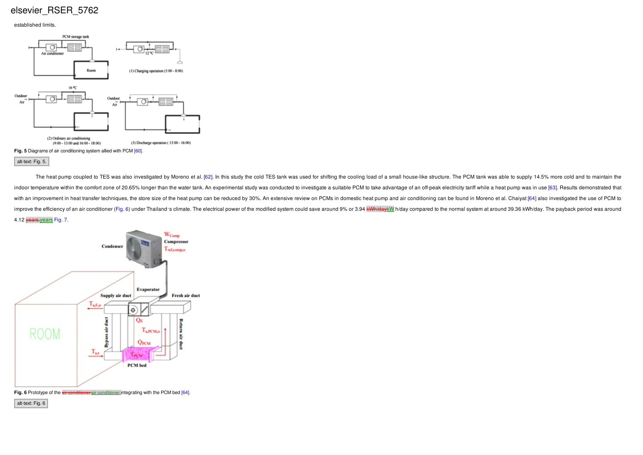#### established limits.



The heat pump coupled to TES was also investigated by Moreno et al. [62]. In this study the cold TES tank was used for shifting the cooling load of a small house-like structure. The PCM tank was able to supply 14.5% more c indoor temperature within the comfort zone of 20.65% longer than the water tank. An experimental study was conducted to investigate a suitable PCM to take advantage of an off-peak electricity tariff while a heat pump was i with an improvement in heat transfer techniques, the store size of the heat pump can be reduced by 30%. An extensive review on PCMs in domestic heat pump and air conditioning can be found in Moreno et al. Chaivat [64] also improve the efficiency of an air conditioner (Fig. 6) under Thailand's climate. The electrical power of the modified system could save around 9% or 3.94 kWh/day kWl h/day compared to the normal system at around 39.36 kWh/d 4.12 years.years Fig. 7.



Fig. 6 Prototype of the **air-conditioner** air conditioner integrating with the PCM bed [64].

alt-text: Fig. 6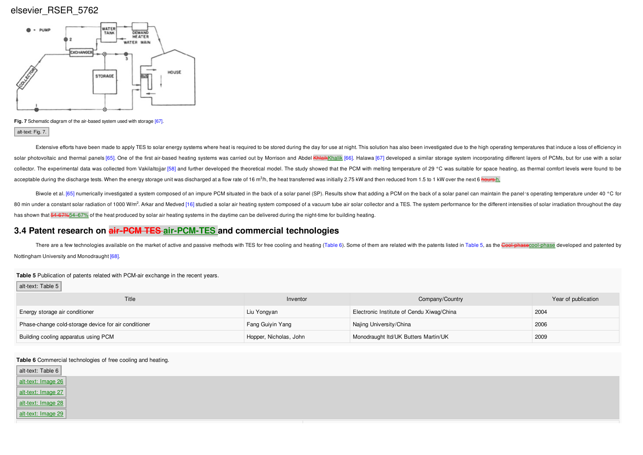

**Fig. 7** Schematic diagram of the air-based system used with storage [67]. alt-text: Fig. 7.

Extensive efforts have been made to apply TES to solar energy systems where heat is required to be stored during the day for use at night. This solution has also been investigated due to the high operating temperatures tha solar photovoltaic and thermal panels [65]. One of the first air-based heating systems was carried out by Morrison and Abdel Khaik Khalik [66]. Halawa [67] developed a similar storage system incorporating different layers collector. The experimental data was collected from Vakilaltojjar [58] and further developed the theoretical model. The study showed that the PCM with melting temperature of 29 °C was suitable for space heating, as thermal acceptable during the discharge tests. When the energy storage unit was discharged at a flow rate of 16 m<sup>3</sup>/h, the heat transferred was initially 2.75 kW and then reduced from 1.5 to 1 kW over the next 6 <del>hours.</del>h.

Biwole et al. [65] numerically investigated a system composed of an impure PCM situated in the back of a solar panel (SP). Results show that adding a PCM on the back of a solar panel can maintain the panel's operating temp 80 min under a constant solar radiation of 1000 W/m<sup>2</sup>. Arkar and Medved [16] studied a solar air heating system composed of a vacuum tube air solar collector and a TES. The system performance for the different intensities has shown that 54–67%54–67% of the heat produced by solar air heating systems in the daytime can be delivered during the night-time for building heating.

## **3.4 Patent research on air‐PCM TES air-PCM-TES and commercial technologies**

There are a few technologies available on the market of active and passive methods with TES for free cooling and heating (Table 6). Some of them are related with the patents listed in Table 5, as the Gool-phase cool-phase Nottingham University and Monodraught [68].

#### **Table 5** Publication of patents related with PCM-air exchange in the recent years.

#### alt-text: Table 5

| Title                                                | Inventor               | Company/Country                           | Year of publication |
|------------------------------------------------------|------------------------|-------------------------------------------|---------------------|
| Energy storage air conditioner                       | Liu Yongyan            | Electronic Institute of Cendu Xiwag/China | 2004                |
| Phase-change cold-storage device for air conditioner | Fang Guiyin Yang       | Najing University/China                   | 2006                |
| Building cooling apparatus using PCM                 | Hopper, Nicholas, John | Monodraught Itd/UK Butters Martin/UK      | 2009                |

#### **Table 6** Commercial technologies of free cooling and heating.

| alt-text: Table 6  |  |
|--------------------|--|
| alt-text: Image 26 |  |
| alt-text: Image 27 |  |
| alt-text: Image 28 |  |
| alt-text: Image 29 |  |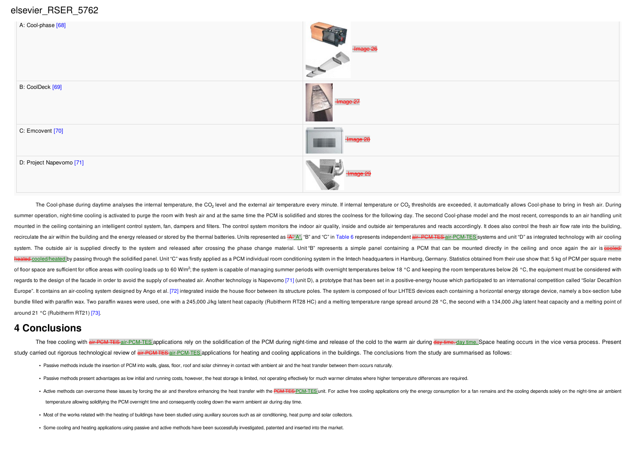

The Cool-phase during daytime analyses the internal temperature, the CO<sub>2</sub> level and the external air temperature every minute. If internal temperature or CO<sub>2</sub> thresholds are exceeded, it automatically allows Cool-phase t summer operation, night-time cooling is activated to purge the room with fresh air and at the same time the PCM is solidified and stores the roolness for the following day. The second Cool-phase model and the most recent, mounted in the ceiling containing an intelligent control system, fan, dampers and filters. The control system monitors the indoor air quality, inside and outside air temperatures and reacts accordingly. It does also contro recirculate the air within the building and the energy released or stored by the thermal batteries. Units represented as "A" n", "B" and "C" in Table 6 represents independent air PCM TES air-PCM-TES systems and unit "D" as system. The outside air is supplied directly to the system and released after crossing the phase change material. Unit "B" represents a simple panel containing a PCM that can be mounted directly in the ceiling and once aga +cooled/heated by passing through the solidified panel. Unit "C" was firstly applied as a PCM individual room conditioning system in the Imtech headquarters in Hamburg, Germany. Statistics obtained from their use show that of floor space are sufficient for office areas with cooling loads up to 60 W/m<sup>2</sup>; the system is capable of managing summer periods with overnight temperatures below 18 °C and keeping the room temperatures below 26 °C, the regards to the design of the facade in order to avoid the supply of overheated air. Another technology is Napevomo [71] (unit D), a prototype that has been set in a positive-energy house which participated to an internatio Europe". It contains an air-cooling system designed by Ango et al. [72] integrated inside the house floor between its structure poles. The system is composed of four LHTES devices each containing a horizontal energy storag bundle filled with paraffin wax. Two paraffin waxes were used, one with a 245,000 J/kg latent heat capacity (Rubitherm RT28 HC) and a melting temperature range spread around 28 °C, the second with a 134,000 J/kg latent hea around 21 °C (Rubitherm RT21) [73].

## **4 Conclusions**

The free cooling with air-PCM-TES-air-PCM-TES applications rely on the solidification of the PCM during night-time and release of the cold to the warm air during day-time-day time. Space heating occurs in the vice versa pr study carried out rigorous technological review of air PCM TES applications for heating and cooling applications in the buildings. The conclusions from the study are summarised as follows:

- **•** Passive methods include the insertion of PCM into walls, glass, floor, roof and solar chimney in contact with ambient air and the heat transfer between them occurs naturally.
- Passive methods present advantages as low initial and running costs, however, the heat storage is limited, not operating effectively for much warmer climates where higher temperature differences are required.
- . Active methods can overcome these issues by forcing the air and therefore enhancing the heat transfer with the PCM-TES unit. For active free cooling applications only the energy consumption for a fan remains and the cool temperature allowing solidifying the PCM overnight time and consequently cooling down the warm ambient air during day time.
- **•** Most of the works related with the heating of buildings have been studied using auxiliary sources such as air conditioning, heat pump and solar collectors.
- **•** Some cooling and heating applications using passive and active methods have been successfully investigated, patented and inserted into the market.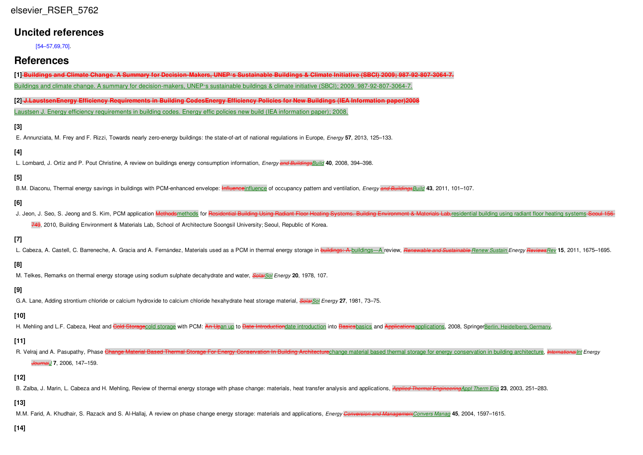| elsevier RSER 5762 |  |
|--------------------|--|
|                    |  |

## **Uncited references**

[54–57,69,70].

# **References**

| [1] Buildings and Climate Change. A Summary for Decision-Makers, UNEP's Sustainable Buildings & Climate Initiative (SBCI) 2009; 987-92-807-3064-7. |  |
|----------------------------------------------------------------------------------------------------------------------------------------------------|--|
| Buildings and climate change. A summary for decision-makers, UNEP's sustainable buildings & climate initiative (SBCI); 2009. 987-92-807-3064-7.    |  |

[2] J.LaustsenEnergy Efficiency Requirements in Building CodesEnergy Efficiency Policies for New Buildings (IEA Information paper)2008 Laustsen J. Energy efficiency requirements in building codes. Energy effic policies new build (IEA information paper); 2008.

#### **[3]**

E. Annunziata, M. Frey and F. Rizzi, Towards nearly zero-energy buildings: the state-of-art of national regulations in Europe, *Energy* **57**, 2013, 125–133.

#### **[4]**

L. Lombard, J. Ortiz and P. Pout Christine, A review on buildings energy consumption information, *Energy and BuildingsBuild* **40**, 2008, 394–398.

## **[5]**

B.M. Diaconu, Thermal energy savings in buildings with PCM-enhanced envelope: Influenceinfluence of occupancy pattern and ventilation, *Energy and BuildingsBuild* **43**, 2011, 101–107.

## **[6]**

J. Jeon, J. Seo, S. Jeong and S. Kim, PCM application Methodsmethods for Residential Building Using Radiant Floor Heating Systems. Building Environment & Materials Lab.residential building using radiant floor heating syste

749, 2010, Building Environment & Materials Lab, School of Architecture Soongsil University; Seoul, Republic of Korea.

## **[7]**

L. Cabeza, A. Castell, C. Barreneche, A. Gracia and A. Fernández, Materials used as a PCM in thermal energy storage in buildings: A buildings-A review, Renewable and Sustainable Renew Sustain Energy Reviews Rev 15, 2011, 1

#### **[8]**

M. Telkes, Remarks on thermal energy storage using sodium sulphate decahydrate and water, *SolarSol Energy* **20**, 1978, 107.

### **[9]**

G.A. Lane, Adding strontium chloride or calcium hydroxide to calcium chloride hexahydrate heat storage material, *SolarSol Energy* **27**, 1981, 73–75.

#### **[10]**

H. Mehling and L.F. Cabeza, Heat and Cold Storagecold storage with PCM: An Upan up to Date Introductiondate introduction into Basicsbasics and Applicationsapplications, 2008, SpringerBerlin, Heidelberg, Germany.

#### **[11]**

R. Velrai and A. Pasupathy, Phase Change Material Based Thermal Storage For Energy Conservation In Building Architecture change material based thermal storage for energy conservation in building architecture. *Internationa JournalJ* **7**, 2006, 147–159.

### **[12]**

B. Zalba, J. Marin, L. Cabeza and H. Mehling, Review of thermal energy storage with phase change: materials, heat transfer analysis and applications, **Applied Thermal Engineering** Appl Therm Eng 23, 2003, 251-283.

#### **[13]**

M.M. Farid, A. Khudhair, S. Razack and S. Al-Hallaj, A review on phase change energy storage: materials and applications, Energy Conversion and Managemen(Convers Manag 45, 2004, 1597-1615.

#### **[14]**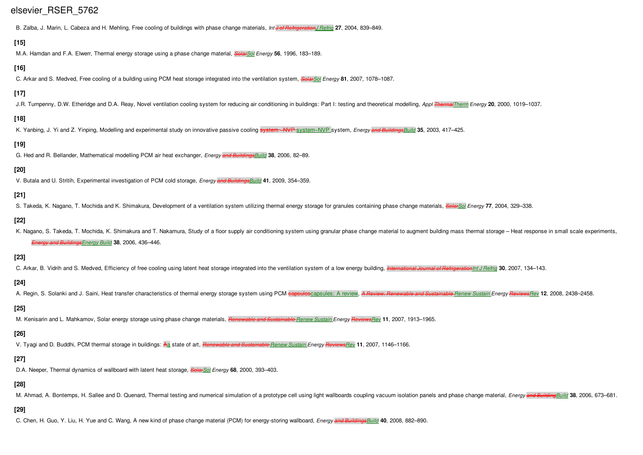B. Zalba, J. Marin, L. Cabeza and H. Mehling, Free cooling of buildings with phase change materials, *Int J of RefrigerationJ Refrig* **27**, 2004, 839–849.

#### **[15]**

M.A. Hamdan and F.A. Elwerr, Thermal energy storage using a phase change material, *SolarSol Energy* **56**, 1996, 183–189.

#### **[16]**

C. Arkar and S. Medved, Free cooling of a building using PCM heat storage integrated into the ventilation system, *SolarSol Energy* **81**, 2007, 1078–1087.

#### **[17]**

J.R. Turnpenny, D.W. Etheridge and D.A. Reay, Novel ventilation cooling system for reducing air conditioning in buildings: Part I: testing and theoretical modelling, Appl Thermal Therm Energy 20, 2000, 1019-1037.

#### **[18]**

K. Yanbing, J. Yi and Z. Yinping, Modelling and experimental study on innovative passive cooling system –NVP system–NVP system, *Energy and BuildingsBuild* **35**, 2003, 417–425.

## **[19]**

G. Hed and R. Bellander, Mathematical modelling PCM air heat exchanger, *Energy and BuildingsBuild* **38**, 2006, 82–89.

#### **[20]**

V. Butala and U. Stritih, Experimental investigation of PCM cold storage, *Energy and BuildingsBuild* **41**, 2009, 354–359.

#### **[21]**

S. Takeda, K. Nagano, T. Mochida and K. Shimakura, Development of a ventilation system utilizing thermal energy storage for granules containing phase change materials, *SolarSol Energy* **77**, 2004, 329–338.

### **[22]**

K. Nagano, S. Takeda, T. Mochida, K. Shimakura and T. Nakamura, Study of a floor supply air conditioning system using granular phase change material to augment building mass thermal storage - Heat response in small scale e *Energy and BuildingsEnergy Build* **38**, 2006, 436–446.

#### **[23]**

C. Arkar, B. Vidrih and S. Medved, Efficiency of free cooling using latent heat storage integrated into the ventilation system of a low energy building, International Journal of Refrigeration lnt J Refrig 30, 2007, 134-143

#### **[24]**

A. Regin, S. Solanki and J. Saini, Heat transfer characteristics of thermal energy storage system using PCM capsules: A review, A Review. Renewable and Sustainable Renew Sustain Energy ReviewsRev 12, 2008, 2438-2458.

### **[25]**

M. Kenisarin and L. Mahkamov, Solar energy storage using phase change materials, *Renewable and Sustainable Renew Sustain Energy ReviewsRev* **11**, 2007, 1913–1965.

### **[26]**

V. Tyagi and D. Buddhi, PCM thermal storage in buildings: Aa state of art, *Renewable and Sustainable Renew Sustain Energy ReviewsRev* **11**, 2007, 1146–1166.

## **[27]**

D.A. Neeper, Thermal dynamics of wallboard with latent heat storage, *SolarSol Energy* **68**, 2000, 393–403.

## **[28]**

M. Ahmad, A. Bontemps, H. Sallee and D. Quenard, Thermal testing and numerical simulation of a prototype cell using light wallboards coupling vacuum isolation panels and phase change material, *Energy* and Building Build 3

## **[29]**

C. Chen, H. Guo, Y. Liu, H. Yue and C. Wang, A new kind of phase change material (PCM) for energy-storing wallboard, *Energy and BuildingsBuild* **40**, 2008, 882–890.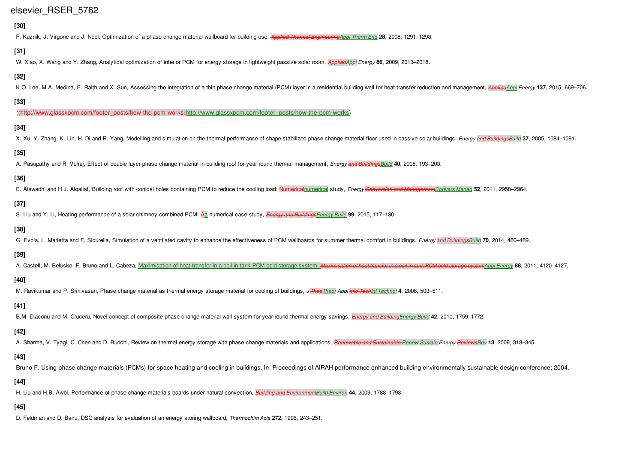## **[30]**

F. Kuznik, J. Virgone and J. Noel, Optimization of a phase change material wallboard for building use, *Applied Thermal EngineeringAppl Therm Eng* **28**, 2008, 1291–1298.

## **[31]**

W. Xiao, X. Wang and Y. Zhang, Analytical optimization of interior PCM for energy storage in lightweight passive solar room, *AppliedAppl Energy* **86**, 2009, 2013–2018.

### **[32]**

K.O. Lee, M.A. Medina, E. Raith and X. Sun, Assessing the integration of a thin phase change material (PCM) layer in a residential building wall for heat transfer reduction and management. Applied Applied Applied Applied A

#### **[33]**

c<del>m.com/footer\_posts/how‐the‐pcm‐works}</del>http://www.glassxpcm.com/footer\_posts/how‐the‐pcm‐works〉

### **[34]**

X. Xu, Y. Zhang, K. Lin, H. Di and R. Yang, Modelling and simulation on the thermal performance of shape-stabilized phase change material floor used in passive solar buildings, Energy and Buildings and Buildings, 2005, 108

### **[35]**

A. Pasupathy and R. Velraj, Effect of double layer phase change material in building roof for year round thermal management, *Energy and BuildingsBuild* **40**, 2008, 193–203.

### **[36]**

E. Alawadhi and H.J. Algallaf. Building roof with conical holes containing PCM to reduce the cooling load: Numerical numerical study. Energy Conversion and Management Convers Manag 52, 2011, 2958-2964.

### **[37]**

S. Liu and Y. Li, Heating performance of a solar chimney combined PCM: Aa numerical case study, *Energy and BuildingsEnergy Build* **99**, 2015, 117–130.

### **[38]**

G. Evola, L. Marletta and F. Sicurella, Simulation of a ventilated cavity to enhance the effectiveness of PCM wallboards for summer thermal comfort in buildings, Energy and BuildingsBuild 70, 2014, 480-489.

### **[39]**

A. Castell, M. Belusko, F. Bruno and L. Cabeza, Maximisation of heat transfer in a coil in tank PCM cold storage system, Maximisation of heat transfer in a coil in tank PCM cold storage system a coil in tank PCM cold stora

#### **[40]**

M. Ravikumar and P. Srinivasan, Phase change material as thermal energy storage material for cooling of buildings, *J TheoTheor Appl Info TechInf Technol* **4**, 2008, 503–511.

### **[41]**

B.M. Diaconu and M. Cruceru, Novel concept of composite phase change material wall system for year-round thermal energy savings, *Energy and BuildingEnergy Build* **42**, 2010, 1759–1772.

### **[42]**

A. Sharma, V. Tyagi, C. Chen and D. Buddhi, Review on thermal energy storage with phase change materials and applications, Renewable and Sustainable Renew Sustain Energy ReviewsRey 13, 2009, 318-345.

### **[43]**

Bruno F. Using phase change materials (PCMs) for space heating and cooling in buildings. In: Proceedings of AIRAH performance enhanced building environmentally sustainable design conference; 2004.

### **[44]**

H. Liu and H.B. Awbi, Performance of phase change materials boards under natural convection, *Building and EnvironmentBuild Environ* **44**, 2009, 1788–1793.

#### **[45]**

D. Feldman and D. Banu, DSC analysis for evaluation of an energy storing wallboard, *Thermochim Acta* **272**, 1996, 243–251.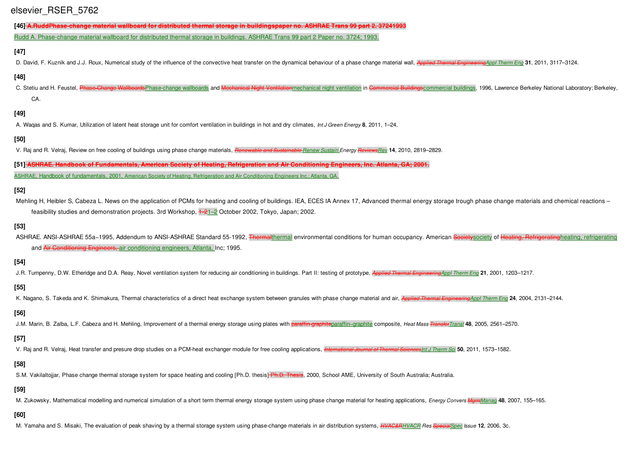[46] A.RuddPhase-change material wallboard for distributed thermal storage in buildingspaper no. ASHRAE Trans 99 part 2, 37241993

Rudd A. Phase-change material wallboard for distributed thermal storage in buildings. ASHRAE Trans 99 part 2 Paper no. 3724; 1993.

#### **[47]**

D. David, F. Kuznik and J.J. Roux, Numerical study of the influence of the convective heat transfer on the dynamical behaviour of a phase change material wall, Applied Thermal Engineering Appl Therm Eng 31, 2011, 3117-3124

#### **[48]**

C. Stetiu and H. Feustel, Phase Change Wallboards Phase-change wallboards and Mechanical Night Ventilationmechanical night ventilation in Commercial Buildings ommercial buildings, 1996, Lawrence Berkeley National Laborator CA.

#### **[49]**

A. Waqas and S. Kumar, Utilization of latent heat storage unit for comfort ventilation in buildings in hot and dry climates, *Int J Green Energy* **8**, 2011, 1–24.

#### **[50]**

V. Raj and R. Velraj, Review on free cooling of buildings using phase change materials, *Renewable and Sustainable Renew Sustain Energy ReviewsRev* **14**, 2010, 2819–2829.

[51] ASHRAE. Handbook of Fundamentals, American Society of Heating, Refrigeration and Air Conditioning Engineers, Inc. Atlanta, GA: 2001. ASHRAE, Handbook of fundamentals, 2001, American Society of Heating, Refrigeration and Air Conditioning Engineers Inc.; Atlanta, GA.

#### **[52]**

Mehling H, Heibler S, Cabeza L, News on the application of PCMs for heating and cooling of buildings. IEA, ECES IA Annex 17, Advanced thermal energy storage trough phase change materials and chemical reactions – feasibility studies and demonstration projects. 3rd Workshop, 1‐21–2 October 2002, Tokyo, Japan; 2002.

#### **[53]**

ASHRAE. ANSI-ASHRAE 55a-1995, Addendum to ANSI-ASHRAE Standard 55-1992, Thermalthermal environmental conditions for human occupancy. American Societysociety of Heating, Refrigeratingheating, refrigerating and Air Conditioning Engineers, air conditioning engineers, Atlanta, Inc; 1995.

#### **[54]**

J.R. Turnpenny, D.W. Etheridge and D.A. Reay, Novel ventilation system for reducing air conditioning in buildings. Part II: testing of prototype, Applied Thermal Engineering Appl Therm Eng 21, 2001, 1203-1217.

#### **[55]**

K. Nagano, S. Takeda and K. Shimakura, Thermal characteristics of a direct heat exchange system between granules with phase change material and air, Applied Thermal Engineerine Appl Therm Eng 24, 2004, 2131-2144.

#### **[56]**

J.M. Marín, B. Zalba, L.F. Cabeza and H. Mehling, Improvement of a thermal energy storage using plates with paraffin-graphiteparaffin-graphite composite, Heat Mass Transfer Transf 48, 2005, 2561-2570.

#### **[57]**

V. Raj and R. Velraj, Heat transfer and presure drop studies on a PCM-heat exchanger module for free cooling applications, International Journal of Thermal Sciences Int J Therm Sci 50, 2011, 1573-1582.

#### **[58]**

S.M. Vakilaltojjar, Phase change thermal storage system for space heating and cooling [Ph.D. thesis] Ph.D. Thesis, 2000, School AME, University of South Australia; Australia.

#### **[59]**

M. Zukowsky, Mathematical modelling and numerical simulation of a short term thermal energy storage system using phase change material for heating applications, Energy Convers MamManag 48, 2007, 155-165.

#### **[60]**

M. Yamaha and S. Misaki, The evaluation of peak shaving by a thermal storage system using phase-change materials in air distribution systems, *HVAC&RHVACR Res SpecialSpec Issue* **12**, 2006, 3c.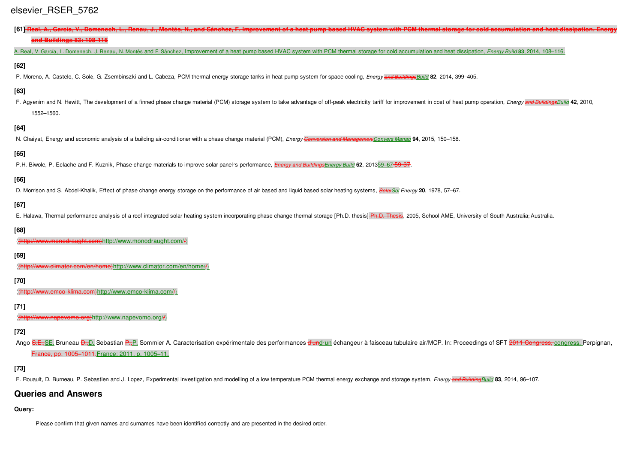| [61] Real, A., García, V., Domenech, L., Renau, J., Montés, N., and Sánchez, F. Improvement of a heat pump based HVAC system with PCM thermal storage for cold accumulation and heat dissipation. Energy<br>and Buildings 83: 108-116        |
|----------------------------------------------------------------------------------------------------------------------------------------------------------------------------------------------------------------------------------------------|
| A. Real, V. García, L. Domenech, J. Renau, N. Montés and F. Sánchez, Improvement of a heat pump based HVAC system with PCM thermal storage for cold accumulation and heat dissipation, <i>Energy Build</i> 83, 2014, 108-116.                |
| $[62]$                                                                                                                                                                                                                                       |
| P. Moreno, A. Castelo, C. Solé, G. Zsembinszki and L. Cabeza, PCM thermal energy storage tanks in heat pump system for space cooling, Energy and BuildingsBuild 82, 2014, 399-405.                                                           |
| $[63]$                                                                                                                                                                                                                                       |
| F. Agyenim and N. Hewitt, The development of a finned phase change material (PCM) storage system to take advantage of off-peak electricity tariff for improvement in cost of heat pump operation, Energy and Buildings Build 4<br>1552-1560. |
| $[64]$                                                                                                                                                                                                                                       |
| N. Chaiyat, Energy and economic analysis of a building air-conditioner with a phase change material (PCM), Energy Conversion and Management Convers Manag 94, 2015, 150-158.                                                                 |
| $[65]$                                                                                                                                                                                                                                       |
| P.H. Biwole, P. Eclache and F. Kuznik, Phase-change materials to improve solar panel's performance, <i>Energy and BuildingsEnergy Build</i> 62, 201359-67-59-37.                                                                             |
| [66]                                                                                                                                                                                                                                         |
| D. Morrison and S. Abdel-Khalik, Effect of phase change energy storage on the performance of air based and liquid based solar heating systems, Solar Sol Energy 20, 1978, 57–67.                                                             |
| $[67]$<br>E. Halawa, Thermal performance analysis of a roof integrated solar heating system incorporating phase change thermal storage [Ph.D. thesis] Ph.D. Thesis, 2005, School AME, University of South Australia; Australia.              |
| $[68]$                                                                                                                                                                                                                                       |
| (thttp://www.monodraught.com)http://www.monodraught.com//                                                                                                                                                                                    |
| [69]                                                                                                                                                                                                                                         |
| ({http://www.elimator.com/en/home}http://www.climator.com/en/home//}                                                                                                                                                                         |
| $[70]$                                                                                                                                                                                                                                       |
| ({http://www.emco-klima.com}http://www.emco-klima.com//}                                                                                                                                                                                     |
| $[71]$                                                                                                                                                                                                                                       |
| (thttp://www.napevomo.org)http://www.napevomo.org//)                                                                                                                                                                                         |
| $[72]$<br>Ango S.E., SE, Bruneau D., D. Sebastian P., P. Sommier A. Caracterisation expérimentale des performances d'und un échangeur à faisceau tubulaire air/MCP. In: Proceedings of SFT 2011 Congress, congress. Perpignan,               |

France, pp. 1005–1011.France; 2011. p. 1005–11.

## **[73]**

F. Rouault, D. Burneau, P. Sebastien and J. Lopez, Experimental investigation and modelling of a low temperature PCM thermal energy exchange and storage system, Energy and BuildingBuild 83, 2014, 96-107.

## **Queries and Answers**

### **Query:**

Please confirm that given names and surnames have been identified correctly and are presented in the desired order.